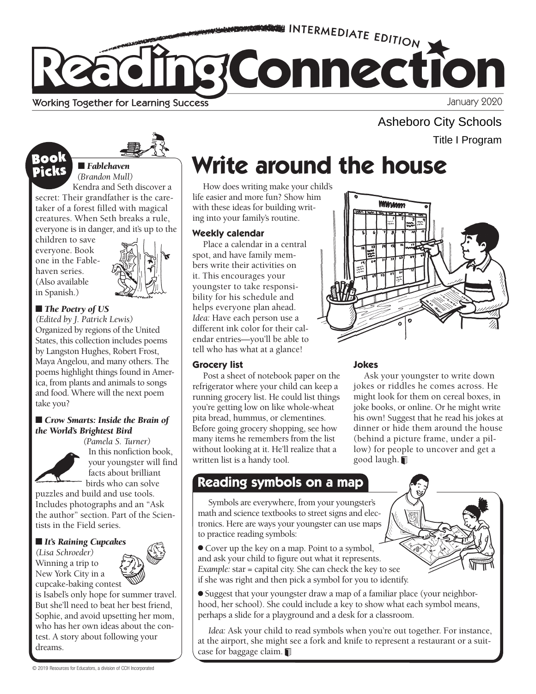

Working Together for Learning Success

■■ *Fablehaven (Brandon Mull)*  Asheboro City Schools

Title I Program

# **Book Write around the house**

How does writing make your child's life easier and more fun? Show him with these ideas for building writing into your family's routine.

## **Weekly calendar**

Place a calendar in a central spot, and have family members write their activities on it. This encourages your youngster to take responsibility for his schedule and helps everyone plan ahead. *Idea:* Have each person use a different ink color for their calendar entries—you'll be able to tell who has what at a glance!

## **Grocery list**

Post a sheet of notebook paper on the refrigerator where your child can keep a running grocery list. He could list things you're getting low on like whole-wheat pita bread, hummus, or clementines. Before going grocery shopping, see how many items he remembers from the list without looking at it. He'll realize that a written list is a handy tool.

## **Jokes**

WWWww

Ask your youngster to write down jokes or riddles he comes across. He might look for them on cereal boxes, in joke books, or online. Or he might write his own! Suggest that he read his jokes at dinner or hide them around the house (behind a picture frame, under a pillow) for people to uncover and get a good laugh.

## **Reading symbols on a map**

Symbols are everywhere, from your youngster's math and science textbooks to street signs and electronics. Here are ways your youngster can use maps to practice reading symbols:

● Cover up the key on a map. Point to a symbol, and ask your child to figure out what it represents. *Example:* star = capital city. She can check the key to see if she was right and then pick a symbol for you to identify.

● Suggest that your youngster draw a map of a familiar place (your neighborhood, her school). She could include a key to show what each symbol means, perhaps a slide for a playground and a desk for a classroom.

*Idea:* Ask your child to read symbols when you're out together. For instance, at the airport, she might see a fork and knife to represent a restaurant or a suitcase for baggage claim.

Book



children to save everyone. Book one in the Fablehaven series. (Also available in Spanish.)



## ■ *The Poetry of US*

*(Edited by J. Patrick Lewis)*  Organized by regions of the United States, this collection includes poems by Langston Hughes, Robert Frost, Maya Angelou, and many others. The poems highlight things found in America, from plants and animals to songs and food. Where will the next poem take you?

### ■ *Crow Smarts: Inside the Brain of the World's Brightest Bird*



*(Pamela S. Turner)*  In this nonfiction book, your youngster will find facts about brilliant birds who can solve

puzzles and build and use tools. Includes photographs and an "Ask the author" section. Part of the Scientists in the Field series.

## ■ *It's Raining Cupcakes*

*(Lisa Schroeder)*  Winning a trip to New York City in a cupcake-baking contest

is Isabel's only hope for summer travel. But she'll need to beat her best friend, Sophie, and avoid upsetting her mom, who has her own ideas about the contest. A story about following your dreams.